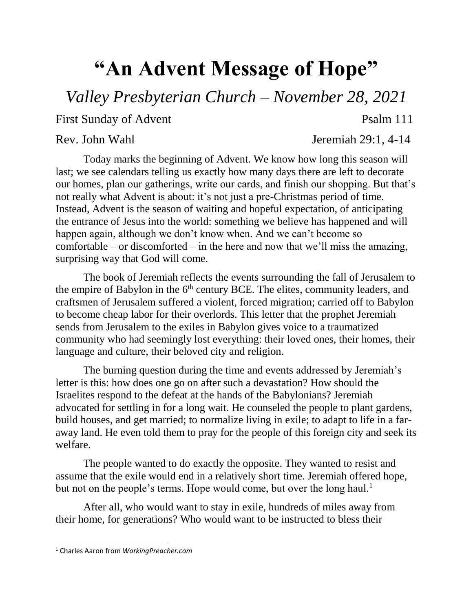## **"An Advent Message of Hope"**

*Valley Presbyterian Church – November 28, 2021*

First Sunday of Advent Psalm 111

Rev. John Wahl Jeremiah 29:1, 4-14

Today marks the beginning of Advent. We know how long this season will last; we see calendars telling us exactly how many days there are left to decorate our homes, plan our gatherings, write our cards, and finish our shopping. But that's not really what Advent is about: it's not just a pre-Christmas period of time. Instead, Advent is the season of waiting and hopeful expectation, of anticipating the entrance of Jesus into the world: something we believe has happened and will happen again, although we don't know when. And we can't become so comfortable – or discomforted – in the here and now that we'll miss the amazing, surprising way that God will come.

The book of Jeremiah reflects the events surrounding the fall of Jerusalem to the empire of Babylon in the  $6<sup>th</sup>$  century BCE. The elites, community leaders, and craftsmen of Jerusalem suffered a violent, forced migration; carried off to Babylon to become cheap labor for their overlords. This letter that the prophet Jeremiah sends from Jerusalem to the exiles in Babylon gives voice to a traumatized community who had seemingly lost everything: their loved ones, their homes, their language and culture, their beloved city and religion.

The burning question during the time and events addressed by Jeremiah's letter is this: how does one go on after such a devastation? How should the Israelites respond to the defeat at the hands of the Babylonians? Jeremiah advocated for settling in for a long wait. He counseled the people to plant gardens, build houses, and get married; to normalize living in exile; to adapt to life in a faraway land. He even told them to pray for the people of this foreign city and seek its welfare.

The people wanted to do exactly the opposite. They wanted to resist and assume that the exile would end in a relatively short time. Jeremiah offered hope, but not on the people's terms. Hope would come, but over the long haul.<sup>1</sup>

After all, who would want to stay in exile, hundreds of miles away from their home, for generations? Who would want to be instructed to bless their

 $\overline{\phantom{a}}$ 

<sup>1</sup> Charles Aaron from *WorkingPreacher.com*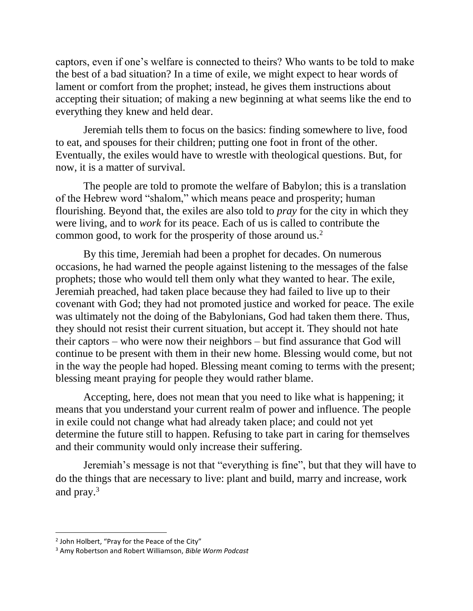captors, even if one's welfare is connected to theirs? Who wants to be told to make the best of a bad situation? In a time of exile, we might expect to hear words of lament or comfort from the prophet; instead, he gives them instructions about accepting their situation; of making a new beginning at what seems like the end to everything they knew and held dear.

Jeremiah tells them to focus on the basics: finding somewhere to live, food to eat, and spouses for their children; putting one foot in front of the other. Eventually, the exiles would have to wrestle with theological questions. But, for now, it is a matter of survival.

The people are told to promote the welfare of Babylon; this is a translation of the Hebrew word "shalom," which means peace and prosperity; human flourishing. Beyond that, the exiles are also told to *pray* for the city in which they were living, and to *work* for its peace. Each of us is called to contribute the common good, to work for the prosperity of those around us.<sup>2</sup>

By this time, Jeremiah had been a prophet for decades. On numerous occasions, he had warned the people against listening to the messages of the false prophets; those who would tell them only what they wanted to hear. The exile, Jeremiah preached, had taken place because they had failed to live up to their covenant with God; they had not promoted justice and worked for peace. The exile was ultimately not the doing of the Babylonians, God had taken them there. Thus, they should not resist their current situation, but accept it. They should not hate their captors – who were now their neighbors – but find assurance that God will continue to be present with them in their new home. Blessing would come, but not in the way the people had hoped. Blessing meant coming to terms with the present; blessing meant praying for people they would rather blame.

Accepting, here, does not mean that you need to like what is happening; it means that you understand your current realm of power and influence. The people in exile could not change what had already taken place; and could not yet determine the future still to happen. Refusing to take part in caring for themselves and their community would only increase their suffering.

Jeremiah's message is not that "everything is fine", but that they will have to do the things that are necessary to live: plant and build, marry and increase, work and pray.<sup>3</sup>

l

<sup>&</sup>lt;sup>2</sup> John Holbert, "Pray for the Peace of the City"

<sup>3</sup> Amy Robertson and Robert Williamson, *Bible Worm Podcast*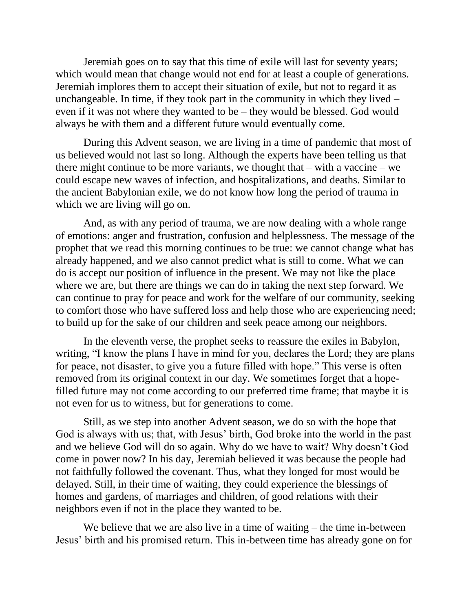Jeremiah goes on to say that this time of exile will last for seventy years; which would mean that change would not end for at least a couple of generations. Jeremiah implores them to accept their situation of exile, but not to regard it as unchangeable. In time, if they took part in the community in which they lived – even if it was not where they wanted to be – they would be blessed. God would always be with them and a different future would eventually come.

During this Advent season, we are living in a time of pandemic that most of us believed would not last so long. Although the experts have been telling us that there might continue to be more variants, we thought that  $-$  with a vaccine  $-$  we could escape new waves of infection, and hospitalizations, and deaths. Similar to the ancient Babylonian exile, we do not know how long the period of trauma in which we are living will go on.

And, as with any period of trauma, we are now dealing with a whole range of emotions: anger and frustration, confusion and helplessness. The message of the prophet that we read this morning continues to be true: we cannot change what has already happened, and we also cannot predict what is still to come. What we can do is accept our position of influence in the present. We may not like the place where we are, but there are things we can do in taking the next step forward. We can continue to pray for peace and work for the welfare of our community, seeking to comfort those who have suffered loss and help those who are experiencing need; to build up for the sake of our children and seek peace among our neighbors.

In the eleventh verse, the prophet seeks to reassure the exiles in Babylon, writing, "I know the plans I have in mind for you, declares the Lord; they are plans for peace, not disaster, to give you a future filled with hope." This verse is often removed from its original context in our day. We sometimes forget that a hopefilled future may not come according to our preferred time frame; that maybe it is not even for us to witness, but for generations to come.

Still, as we step into another Advent season, we do so with the hope that God is always with us; that, with Jesus' birth, God broke into the world in the past and we believe God will do so again. Why do we have to wait? Why doesn't God come in power now? In his day, Jeremiah believed it was because the people had not faithfully followed the covenant. Thus, what they longed for most would be delayed. Still, in their time of waiting, they could experience the blessings of homes and gardens, of marriages and children, of good relations with their neighbors even if not in the place they wanted to be.

We believe that we are also live in a time of waiting – the time in-between Jesus' birth and his promised return. This in-between time has already gone on for